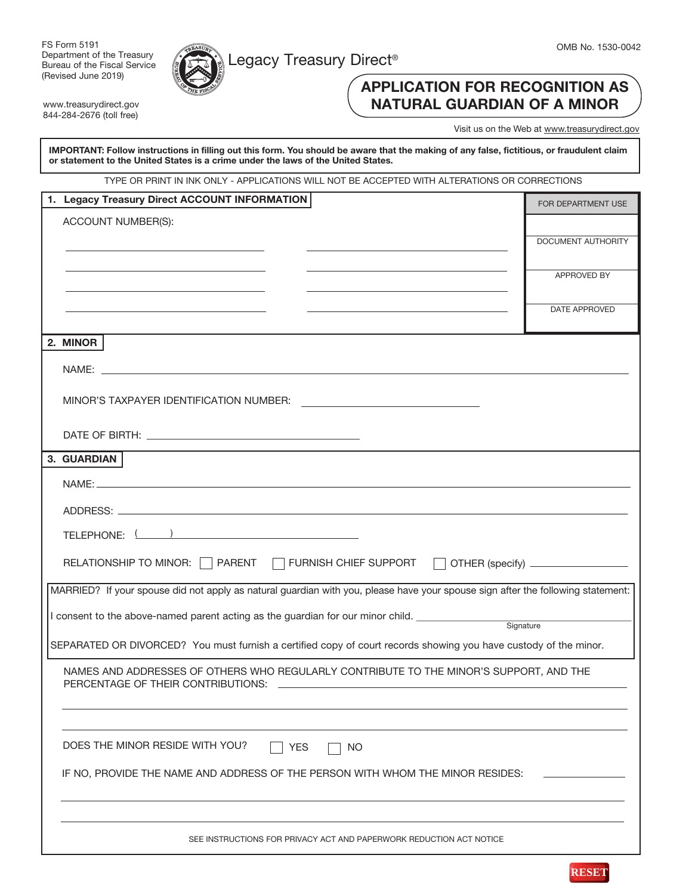

FS Form 5191 Department of the Treasury Bureau of the Fiscal Service (Revised June 2019)

www.treasurydirect.gov 844-284-2676 (toll free)



# APPLICATION FOR RECOGNITION AS NATURAL GUARDIAN OF A MINOR

Visit us on the Web at www.treasurydirect.gov

IMPORTANT: Follow instructions in filling out this form. You should be aware that the making of any false, fictitious, or fraudulent claim or statement to the United States is a crime under the laws of the United States.

TYPE OR PRINT IN INK ONLY - APPLICATIONS WILL NOT BE ACCEPTED WITH ALTERATIONS OR CORRECTIONS

| 1. Legacy Treasury Direct ACCOUNT INFORMATION                                                                                                                                                                                                                                                                                                                                         | FOR DEPARTMENT USE   |  |  |  |
|---------------------------------------------------------------------------------------------------------------------------------------------------------------------------------------------------------------------------------------------------------------------------------------------------------------------------------------------------------------------------------------|----------------------|--|--|--|
| ACCOUNT NUMBER(S):                                                                                                                                                                                                                                                                                                                                                                    |                      |  |  |  |
|                                                                                                                                                                                                                                                                                                                                                                                       | DOCUMENT AUTHORITY   |  |  |  |
|                                                                                                                                                                                                                                                                                                                                                                                       |                      |  |  |  |
|                                                                                                                                                                                                                                                                                                                                                                                       | <b>APPROVED BY</b>   |  |  |  |
|                                                                                                                                                                                                                                                                                                                                                                                       |                      |  |  |  |
|                                                                                                                                                                                                                                                                                                                                                                                       | <b>DATE APPROVED</b> |  |  |  |
| 2. MINOR                                                                                                                                                                                                                                                                                                                                                                              |                      |  |  |  |
| NAME:                                                                                                                                                                                                                                                                                                                                                                                 |                      |  |  |  |
|                                                                                                                                                                                                                                                                                                                                                                                       |                      |  |  |  |
|                                                                                                                                                                                                                                                                                                                                                                                       |                      |  |  |  |
|                                                                                                                                                                                                                                                                                                                                                                                       |                      |  |  |  |
|                                                                                                                                                                                                                                                                                                                                                                                       |                      |  |  |  |
| 3. GUARDIAN                                                                                                                                                                                                                                                                                                                                                                           |                      |  |  |  |
| NAME:                                                                                                                                                                                                                                                                                                                                                                                 |                      |  |  |  |
|                                                                                                                                                                                                                                                                                                                                                                                       |                      |  |  |  |
| TELEPHONE: $\left(\begin{array}{c} \rule{0.2cm}{0.15mm}\qquad \rule{0.2cm}{0.15mm}\qquad \rule{0.2cm}{0.15mm}\qquad \rule{0.2cm}{0.15mm}\qquad \rule{0.2cm}{0.15mm}\qquad \rule{0.2cm}{0.15mm}\qquad \rule{0.2cm}{0.15mm}\qquad \rule{0.2cm}{0.15mm}\qquad \rule{0.2cm}{0.15mm}\qquad \rule{0.2cm}{0.15mm}\qquad \rule{0.2cm}{0.15mm}\qquad \rule{0.2cm}{0.15mm}\qquad \rule{0.2cm}{$ |                      |  |  |  |
|                                                                                                                                                                                                                                                                                                                                                                                       |                      |  |  |  |
| RELATIONSHIP TO MINOR: SPARENT TO FURNISH CHIEF SUPPORT TO THER (specify) SUPPORT                                                                                                                                                                                                                                                                                                     |                      |  |  |  |
| MARRIED? If your spouse did not apply as natural guardian with you, please have your spouse sign after the following statement:                                                                                                                                                                                                                                                       |                      |  |  |  |
| I consent to the above-named parent acting as the guardian for our minor child. ____________________                                                                                                                                                                                                                                                                                  |                      |  |  |  |
| Signature                                                                                                                                                                                                                                                                                                                                                                             |                      |  |  |  |
| SEPARATED OR DIVORCED? You must furnish a certified copy of court records showing you have custody of the minor.                                                                                                                                                                                                                                                                      |                      |  |  |  |
| NAMES AND ADDRESSES OF OTHERS WHO REGULARLY CONTRIBUTE TO THE MINOR'S SUPPORT, AND THE                                                                                                                                                                                                                                                                                                |                      |  |  |  |
| PERCENTAGE OF THEIR CONTRIBUTIONS:                                                                                                                                                                                                                                                                                                                                                    |                      |  |  |  |
|                                                                                                                                                                                                                                                                                                                                                                                       |                      |  |  |  |
|                                                                                                                                                                                                                                                                                                                                                                                       |                      |  |  |  |
| DOES THE MINOR RESIDE WITH YOU?<br><b>YES</b><br>NO                                                                                                                                                                                                                                                                                                                                   |                      |  |  |  |
| IF NO, PROVIDE THE NAME AND ADDRESS OF THE PERSON WITH WHOM THE MINOR RESIDES:                                                                                                                                                                                                                                                                                                        |                      |  |  |  |
|                                                                                                                                                                                                                                                                                                                                                                                       |                      |  |  |  |
|                                                                                                                                                                                                                                                                                                                                                                                       |                      |  |  |  |
| SEE INSTRUCTIONS FOR PRIVACY ACT AND PAPERWORK REDUCTION ACT NOTICE                                                                                                                                                                                                                                                                                                                   |                      |  |  |  |
|                                                                                                                                                                                                                                                                                                                                                                                       |                      |  |  |  |

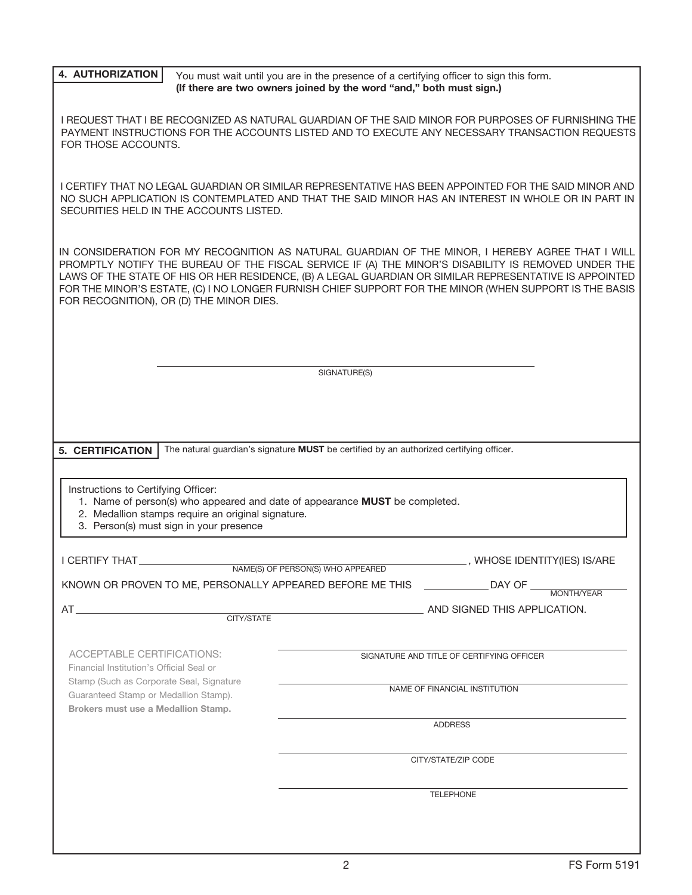| <b>4. AUTHORIZATION</b>                                                                                                                                                                                                      |                                                    | You must wait until you are in the presence of a certifying officer to sign this form.<br>(If there are two owners joined by the word "and," both must sign.) |                                                                                                                                                                                                                                                                                                                                                                                                                             |  |  |
|------------------------------------------------------------------------------------------------------------------------------------------------------------------------------------------------------------------------------|----------------------------------------------------|---------------------------------------------------------------------------------------------------------------------------------------------------------------|-----------------------------------------------------------------------------------------------------------------------------------------------------------------------------------------------------------------------------------------------------------------------------------------------------------------------------------------------------------------------------------------------------------------------------|--|--|
| I REQUEST THAT I BE RECOGNIZED AS NATURAL GUARDIAN OF THE SAID MINOR FOR PURPOSES OF FURNISHING THE<br>PAYMENT INSTRUCTIONS FOR THE ACCOUNTS LISTED AND TO EXECUTE ANY NECESSARY TRANSACTION REQUESTS<br>FOR THOSE ACCOUNTS. |                                                    |                                                                                                                                                               |                                                                                                                                                                                                                                                                                                                                                                                                                             |  |  |
| SECURITIES HELD IN THE ACCOUNTS LISTED.                                                                                                                                                                                      |                                                    |                                                                                                                                                               | I CERTIFY THAT NO LEGAL GUARDIAN OR SIMILAR REPRESENTATIVE HAS BEEN APPOINTED FOR THE SAID MINOR AND<br>NO SUCH APPLICATION IS CONTEMPLATED AND THAT THE SAID MINOR HAS AN INTEREST IN WHOLE OR IN PART IN                                                                                                                                                                                                                  |  |  |
| FOR RECOGNITION), OR (D) THE MINOR DIES.                                                                                                                                                                                     |                                                    |                                                                                                                                                               | IN CONSIDERATION FOR MY RECOGNITION AS NATURAL GUARDIAN OF THE MINOR, I HEREBY AGREE THAT I WILL<br>PROMPTLY NOTIFY THE BUREAU OF THE FISCAL SERVICE IF (A) THE MINOR'S DISABILITY IS REMOVED UNDER THE<br>LAWS OF THE STATE OF HIS OR HER RESIDENCE, (B) A LEGAL GUARDIAN OR SIMILAR REPRESENTATIVE IS APPOINTED<br>FOR THE MINOR'S ESTATE, (C) I NO LONGER FURNISH CHIEF SUPPORT FOR THE MINOR (WHEN SUPPORT IS THE BASIS |  |  |
|                                                                                                                                                                                                                              |                                                    |                                                                                                                                                               |                                                                                                                                                                                                                                                                                                                                                                                                                             |  |  |
|                                                                                                                                                                                                                              |                                                    |                                                                                                                                                               |                                                                                                                                                                                                                                                                                                                                                                                                                             |  |  |
|                                                                                                                                                                                                                              |                                                    | SIGNATURE(S)                                                                                                                                                  |                                                                                                                                                                                                                                                                                                                                                                                                                             |  |  |
|                                                                                                                                                                                                                              |                                                    |                                                                                                                                                               |                                                                                                                                                                                                                                                                                                                                                                                                                             |  |  |
|                                                                                                                                                                                                                              |                                                    |                                                                                                                                                               |                                                                                                                                                                                                                                                                                                                                                                                                                             |  |  |
|                                                                                                                                                                                                                              |                                                    |                                                                                                                                                               |                                                                                                                                                                                                                                                                                                                                                                                                                             |  |  |
| 5. CERTIFICATION                                                                                                                                                                                                             |                                                    | The natural guardian's signature MUST be certified by an authorized certifying officer.                                                                       |                                                                                                                                                                                                                                                                                                                                                                                                                             |  |  |
|                                                                                                                                                                                                                              |                                                    |                                                                                                                                                               |                                                                                                                                                                                                                                                                                                                                                                                                                             |  |  |
|                                                                                                                                                                                                                              |                                                    |                                                                                                                                                               |                                                                                                                                                                                                                                                                                                                                                                                                                             |  |  |
| Instructions to Certifying Officer:<br>1. Name of person(s) who appeared and date of appearance MUST be completed.                                                                                                           |                                                    |                                                                                                                                                               |                                                                                                                                                                                                                                                                                                                                                                                                                             |  |  |
|                                                                                                                                                                                                                              | 2. Medallion stamps require an original signature. |                                                                                                                                                               |                                                                                                                                                                                                                                                                                                                                                                                                                             |  |  |
| 3. Person(s) must sign in your presence                                                                                                                                                                                      |                                                    |                                                                                                                                                               |                                                                                                                                                                                                                                                                                                                                                                                                                             |  |  |
|                                                                                                                                                                                                                              |                                                    |                                                                                                                                                               |                                                                                                                                                                                                                                                                                                                                                                                                                             |  |  |
| <b>I CERTIFY THAT</b>                                                                                                                                                                                                        |                                                    |                                                                                                                                                               | WHOSE IDENTITY(IES) IS/ARE                                                                                                                                                                                                                                                                                                                                                                                                  |  |  |
|                                                                                                                                                                                                                              |                                                    | NAME(S) OF PERSON(S) WHO APPEARED                                                                                                                             | <b>Example 12 DAY OF</b>                                                                                                                                                                                                                                                                                                                                                                                                    |  |  |
|                                                                                                                                                                                                                              |                                                    | KNOWN OR PROVEN TO ME, PERSONALLY APPEARED BEFORE ME THIS                                                                                                     | MONTH/YFAR                                                                                                                                                                                                                                                                                                                                                                                                                  |  |  |
| $AT$ and the set of $AT$                                                                                                                                                                                                     | CITY/STATE                                         |                                                                                                                                                               | AND SIGNED THIS APPLICATION.                                                                                                                                                                                                                                                                                                                                                                                                |  |  |
|                                                                                                                                                                                                                              |                                                    |                                                                                                                                                               |                                                                                                                                                                                                                                                                                                                                                                                                                             |  |  |
|                                                                                                                                                                                                                              |                                                    |                                                                                                                                                               |                                                                                                                                                                                                                                                                                                                                                                                                                             |  |  |
| ACCEPTABLE CERTIFICATIONS:<br>Financial Institution's Official Seal or<br>Stamp (Such as Corporate Seal, Signature<br>Guaranteed Stamp or Medallion Stamp).                                                                  |                                                    |                                                                                                                                                               | SIGNATURE AND TITLE OF CERTIFYING OFFICER                                                                                                                                                                                                                                                                                                                                                                                   |  |  |
|                                                                                                                                                                                                                              |                                                    |                                                                                                                                                               |                                                                                                                                                                                                                                                                                                                                                                                                                             |  |  |
|                                                                                                                                                                                                                              |                                                    |                                                                                                                                                               | NAME OF FINANCIAL INSTITUTION                                                                                                                                                                                                                                                                                                                                                                                               |  |  |
| Brokers must use a Medallion Stamp.                                                                                                                                                                                          |                                                    |                                                                                                                                                               |                                                                                                                                                                                                                                                                                                                                                                                                                             |  |  |
| <b>ADDRESS</b>                                                                                                                                                                                                               |                                                    |                                                                                                                                                               |                                                                                                                                                                                                                                                                                                                                                                                                                             |  |  |
|                                                                                                                                                                                                                              |                                                    |                                                                                                                                                               |                                                                                                                                                                                                                                                                                                                                                                                                                             |  |  |
| CITY/STATE/ZIP CODE                                                                                                                                                                                                          |                                                    |                                                                                                                                                               |                                                                                                                                                                                                                                                                                                                                                                                                                             |  |  |
|                                                                                                                                                                                                                              |                                                    |                                                                                                                                                               |                                                                                                                                                                                                                                                                                                                                                                                                                             |  |  |
|                                                                                                                                                                                                                              |                                                    |                                                                                                                                                               | <b>TELEPHONE</b>                                                                                                                                                                                                                                                                                                                                                                                                            |  |  |
|                                                                                                                                                                                                                              |                                                    |                                                                                                                                                               |                                                                                                                                                                                                                                                                                                                                                                                                                             |  |  |
|                                                                                                                                                                                                                              |                                                    |                                                                                                                                                               |                                                                                                                                                                                                                                                                                                                                                                                                                             |  |  |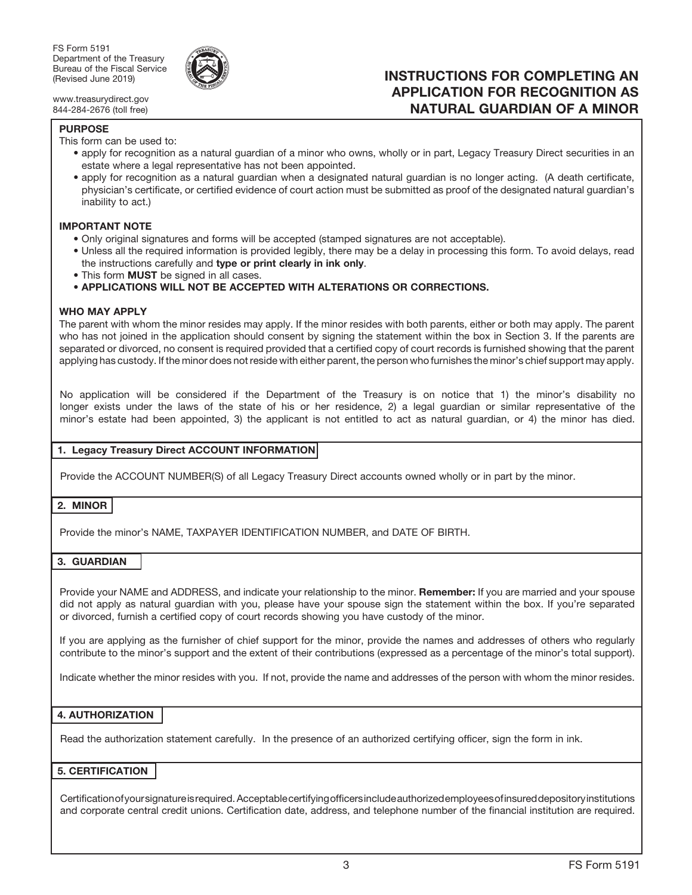

www.treasurydirect.gov 844-284-2676 (toll free)

#### PURPOSE

This form can be used to:

• apply for recognition as a natural guardian of a minor who owns, wholly or in part, Legacy Treasury Direct securities in an estate where a legal representative has not been appointed.

INSTRUCTIONS FOR COMPLETING AN APPLICATION FOR RECOGNITION AS NATURAL GUARDIAN OF A MINOR

• apply for recognition as a natural guardian when a designated natural guardian is no longer acting. (A death certificate, physician's certificate, or certified evidence of court action must be submitted as proof of the designated natural guardian's inability to act.)

#### IMPORTANT NOTE

- Only original signatures and forms will be accepted (stamped signatures are not acceptable).
- Unless all the required information is provided legibly, there may be a delay in processing this form. To avoid delays, read the instructions carefully and type or print clearly in ink only.
- This form **MUST** be signed in all cases.
- APPLICATIONS WILL NOT BE ACCEPTED WITH ALTERATIONS OR CORRECTIONS.

#### WHO MAY APPLY

The parent with whom the minor resides may apply. If the minor resides with both parents, either or both may apply. The parent who has not joined in the application should consent by signing the statement within the box in Section 3. If the parents are separated or divorced, no consent is required provided that a certified copy of court records is furnished showing that the parent applying has custody. If the minor does not reside with either parent, the person who furnishes the minor's chief support may apply.

No application will be considered if the Department of the Treasury is on notice that 1) the minor's disability no longer exists under the laws of the state of his or her residence, 2) a legal guardian or similar representative of the minor's estate had been appointed, 3) the applicant is not entitled to act as natural guardian, or 4) the minor has died.

#### 1. Legacy Treasury Direct ACCOUNT INFORMATION

Provide the ACCOUNT NUMBER(S) of all Legacy Treasury Direct accounts owned wholly or in part by the minor.

## 2. MINOR

Provide the minor's NAME, TAXPAYER IDENTIFICATION NUMBER, and DATE OF BIRTH.

## 3. GUARDIAN

Provide your NAME and ADDRESS, and indicate your relationship to the minor. Remember: If you are married and your spouse did not apply as natural guardian with you, please have your spouse sign the statement within the box. If you're separated or divorced, furnish a certified copy of court records showing you have custody of the minor.

If you are applying as the furnisher of chief support for the minor, provide the names and addresses of others who regularly contribute to the minor's support and the extent of their contributions (expressed as a percentage of the minor's total support).

Indicate whether the minor resides with you. If not, provide the name and addresses of the person with whom the minor resides.

### 4. AUTHORIZATION

Read the authorization statement carefully. In the presence of an authorized certifying officer, sign the form in ink.

## 5. CERTIFICATION

Certification of your signature is required. Acceptable certifying officers include authorized employees of insured depository institutions and corporate central credit unions. Certification date, address, and telephone number of the financial institution are required.